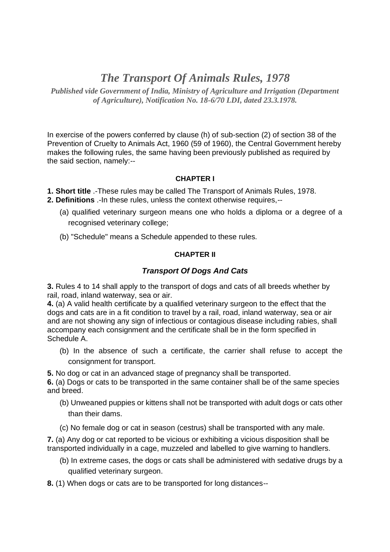# *The Transport Of Animals Rules, 1978*

*Published vide Government of India, Ministry of Agriculture and Irrigation (Department of Agriculture), Notification No. 18-6/70 LDI, dated 23.3.1978.*

In exercise of the powers conferred by clause (h) of sub-section (2) of section 38 of the Prevention of Cruelty to Animals Act, 1960 (59 of 1960), the Central Government hereby makes the following rules, the same having been previously published as required by the said section, namely:--

## **CHAPTER I**

**1. Short title** .-These rules may be called The Transport of Animals Rules, 1978.

- **2. Definitions** .-In these rules, unless the context otherwise requires,--
	- (a) qualified veterinary surgeon means one who holds a diploma or a degree of a recognised veterinary college;
	- (b) "Schedule" means a Schedule appended to these rules.

## **CHAPTER II**

## *Transport Of Dogs And Cats*

**3.** Rules 4 to 14 shall apply to the transport of dogs and cats of all breeds whether by rail, road, inland waterway, sea or air.

**4.** (a) A valid health certificate by a qualified veterinary surgeon to the effect that the dogs and cats are in a fit condition to travel by a rail, road, inland waterway, sea or air and are not showing any sign of infectious or contagious disease including rabies, shall accompany each consignment and the certificate shall be in the form specified in Schedule A.

(b) In the absence of such a certificate, the carrier shall refuse to accept the consignment for transport.

**5.** No dog or cat in an advanced stage of pregnancy shall be transported.

**6.** (a) Dogs or cats to be transported in the same container shall be of the same species and breed.

- (b) Unweaned puppies or kittens shall not be transported with adult dogs or cats other than their dams.
- (c) No female dog or cat in season (cestrus) shall be transported with any male.

**7.** (a) Any dog or cat reported to be vicious or exhibiting a vicious disposition shall be transported individually in a cage, muzzeled and labelled to give warning to handlers.

- (b) In extreme cases, the dogs or cats shall be administered with sedative drugs by a qualified veterinary surgeon.
- **8.** (1) When dogs or cats are to be transported for long distances--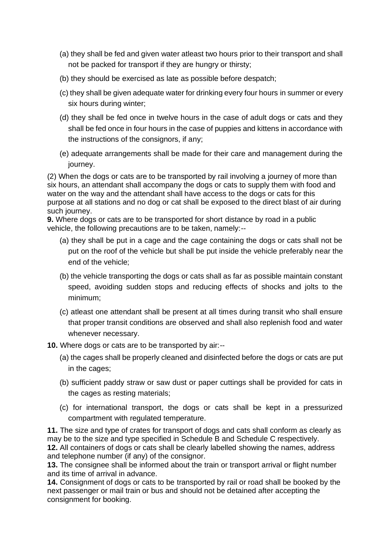- (a) they shall be fed and given water atleast two hours prior to their transport and shall not be packed for transport if they are hungry or thirsty;
- (b) they should be exercised as late as possible before despatch;
- (c) they shall be given adequate water for drinking every four hours in summer or every six hours during winter;
- (d) they shall be fed once in twelve hours in the case of adult dogs or cats and they shall be fed once in four hours in the case of puppies and kittens in accordance with the instructions of the consignors, if any;
- (e) adequate arrangements shall be made for their care and management during the journey.

(2) When the dogs or cats are to be transported by rail involving a journey of more than six hours, an attendant shall accompany the dogs or cats to supply them with food and water on the way and the attendant shall have access to the dogs or cats for this purpose at all stations and no dog or cat shall be exposed to the direct blast of air during such journey.

**9.** Where dogs or cats are to be transported for short distance by road in a public vehicle, the following precautions are to be taken, namely:--

- (a) they shall be put in a cage and the cage containing the dogs or cats shall not be put on the roof of the vehicle but shall be put inside the vehicle preferably near the end of the vehicle;
- (b) the vehicle transporting the dogs or cats shall as far as possible maintain constant speed, avoiding sudden stops and reducing effects of shocks and jolts to the minimum;
- (c) atleast one attendant shall be present at all times during transit who shall ensure that proper transit conditions are observed and shall also replenish food and water whenever necessary.
- **10.** Where dogs or cats are to be transported by air:--
	- (a) the cages shall be properly cleaned and disinfected before the dogs or cats are put in the cages;
	- (b) sufficient paddy straw or saw dust or paper cuttings shall be provided for cats in the cages as resting materials;
	- (c) for international transport, the dogs or cats shall be kept in a pressurized compartment with regulated temperature.

**11.** The size and type of crates for transport of dogs and cats shall conform as clearly as may be to the size and type specified in Schedule B and Schedule C respectively. **12.** All containers of dogs or cats shall be clearly labelled showing the names, address and telephone number (if any) of the consignor.

**13.** The consignee shall be informed about the train or transport arrival or flight number and its time of arrival in advance.

**14.** Consignment of dogs or cats to be transported by rail or road shall be booked by the next passenger or mail train or bus and should not be detained after accepting the consignment for booking.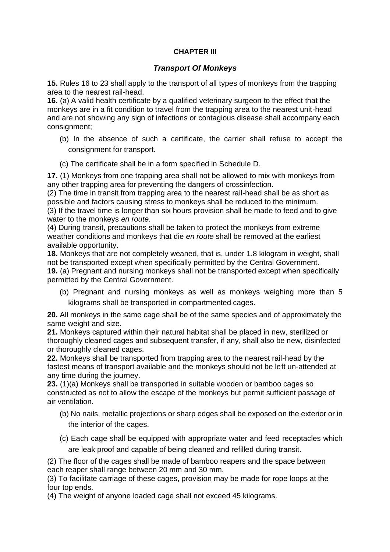#### **CHAPTER III**

## *Transport Of Monkeys*

**15.** Rules 16 to 23 shall apply to the transport of all types of monkeys from the trapping area to the nearest rail-head.

**16.** (a) A valid health certificate by a qualified veterinary surgeon to the effect that the monkeys are in a fit condition to travel from the trapping area to the nearest unit-head and are not showing any sign of infections or contagious disease shall accompany each consignment;

- (b) In the absence of such a certificate, the carrier shall refuse to accept the consignment for transport.
- (c) The certificate shall be in a form specified in Schedule D.

**17.** (1) Monkeys from one trapping area shall not be allowed to mix with monkeys from any other trapping area for preventing the dangers of crossinfection.

(2) The time in transit from trapping area to the nearest rail-head shall be as short as possible and factors causing stress to monkeys shall be reduced to the minimum. (3) If the travel time is longer than six hours provision shall be made to feed and to give

water to the monkeys *en route.*

(4) During transit, precautions shall be taken to protect the monkeys from extreme weather conditions and monkeys that die *en route* shall be removed at the earliest available opportunity.

**18.** Monkeys that are not completely weaned, that is, under 1.8 kilogram in weight, shall not be transported except when specifically permitted by the Central Government.

**19.** (a) Pregnant and nursing monkeys shall not be transported except when specifically permitted by the Central Government.

(b) Pregnant and nursing monkeys as well as monkeys weighing more than 5 kilograms shall be transported in compartmented cages.

**20.** All monkeys in the same cage shall be of the same species and of approximately the same weight and size.

**21.** Monkeys captured within their natural habitat shall be placed in new, sterilized or thoroughly cleaned cages and subsequent transfer, if any, shall also be new, disinfected or thoroughly cleaned cages.

**22.** Monkeys shall be transported from trapping area to the nearest rail-head by the fastest means of transport available and the monkeys should not be left un-attended at any time during the journey.

**23.** (1)(a) Monkeys shall be transported in suitable wooden or bamboo cages so constructed as not to allow the escape of the monkeys but permit sufficient passage of air ventilation.

- (b) No nails, metallic projections or sharp edges shall be exposed on the exterior or in the interior of the cages.
- (c) Each cage shall be equipped with appropriate water and feed receptacles which are leak proof and capable of being cleaned and refilled during transit.

(2) The floor of the cages shall be made of bamboo reapers and the space between each reaper shall range between 20 mm and 30 mm.

(3) To facilitate carriage of these cages, provision may be made for rope loops at the four top ends.

(4) The weight of anyone loaded cage shall not exceed 45 kilograms.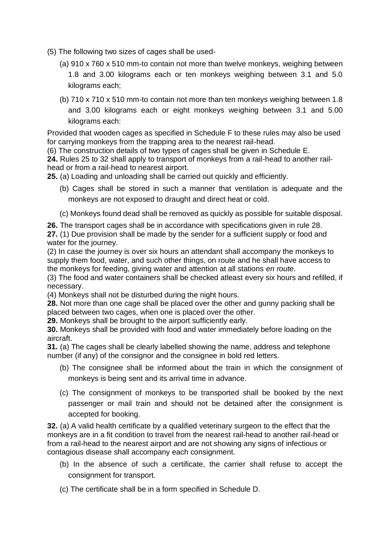- (5) The following two sizes of cages shall be used-
	- (a) 910 x 760 x 510 mm-to contain not more than twelve monkeys, weighing between 1.8 and 3.00 kilograms each or ten monkeys weighing between 3.1 and 5.0 kilograms each;
	- (b) 710 x 710 x 510 mm-to contain not more than ten monkeys weighing between 1.8 and 3.00 kilograms each or eight monkeys weighing between 3.1 and 5.00 kilograms each:

Provided that wooden cages as specified in Schedule F to these rules may also be used for carrying monkeys from the trapping area to the nearest rail-head.

(6) The construction details of two types of cages shall be given in Schedule E.

**24.** Rules 25 to 32 shall apply to transport of monkeys from a rail-head to another railhead or from a rail-head to nearest airport.

**25.** (a) Loading and unloading shall be carried out quickly and efficiently.

- (b) Cages shall be stored in such a manner that ventilation is adequate and the monkeys are not exposed to draught and direct heat or cold.
- (c) Monkeys found dead shall be removed as quickly as possible for suitable disposal.
- **26.** The transport cages shall be in accordance with specifications given in rule 28.

**27.** (1) Due provision shall be made by the sender for a sufficient supply or food and water for the journey.

(2) In case the journey is over six hours an attendant shall accompany the monkeys to supply them food, water, and such other things, on route and he shall have access to the monkeys for feeding, giving water and attention at all stations *en route.*

(3) The food and water containers shall be checked atleast every six hours and refilled, if necessary.

(4) Monkeys shall not be disturbed during the night hours.

**28.** Not more than one cage shall be placed over the other and gunny packing shall be placed between two cages, when one is placed over the other.

**29.** Monkeys shall be brought to the airport sufficiently early.

**30.** Monkeys shall be provided with food and water immediately before loading on the aircraft.

**31.** (a) The cages shall be clearly labelled showing the name, address and telephone number (if any) of the consignor and the consignee in bold red letters.

- (b) The consignee shall be informed about the train in which the consignment of monkeys is being sent and its arrival time in advance.
- (c) The consignment of monkeys to be transported shall be booked by the next passenger or mail train and should not be detained after the consignment is accepted for booking.

**32.** (a) A valid health certificate by a qualified veterinary surgeon to the effect that the monkeys are in a fit condition to travel from the nearest rail-head to another rail-head or from a rail-head to the nearest airport and are not showing any signs of infectious or contagious disease shall accompany each consignment.

- (b) In the absence of such a certificate, the carrier shall refuse to accept the consignment for transport.
- (c) The certificate shall be in a form specified in Schedule D.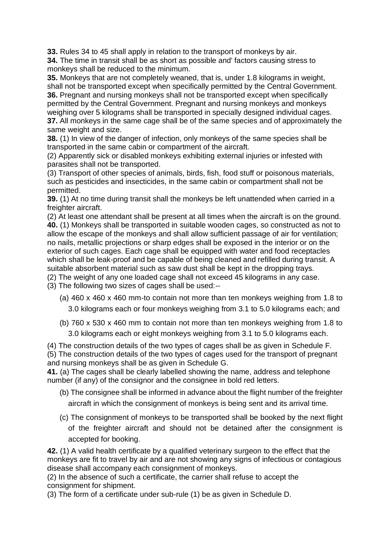**33.** Rules 34 to 45 shall apply in relation to the transport of monkeys by air.

**34.** The time in transit shall be as short as possible and' factors causing stress to monkeys shall be reduced to the minimum.

**35.** Monkeys that are not completely weaned, that is, under 1.8 kilograms in weight, shall not be transported except when specifically permitted by the Central Government. **36.** Pregnant and nursing monkeys shall not be transported except when specifically permitted by the Central Government. Pregnant and nursing monkeys and monkeys weighing over 5 kilograms shall be transported in specially designed individual cages. **37.** All monkeys in the same cage shall be of the same species and of approximately the same weight and size.

**38.** (1) In view of the danger of infection, only monkeys of the same species shall be transported in the same cabin or compartment of the aircraft.

(2) Apparently sick or disabled monkeys exhibiting external injuries or infested with parasites shall not be transported.

(3) Transport of other species of animals, birds, fish, food stuff or poisonous materials, such as pesticides and insecticides, in the same cabin or compartment shall not be permitted.

**39.** (1) At no time during transit shall the monkeys be left unattended when carried in a freighter aircraft.

(2) At least one attendant shall be present at all times when the aircraft is on the ground. **40.** (1) Monkeys shall be transported in suitable wooden cages, so constructed as not to allow the escape of the monkeys and shall allow sufficient passage of air for ventilation; no nails, metallic projections or sharp edges shall be exposed in the interior or on the exterior of such cages. Each cage shall be equipped with water and food receptacles which shall be leak-proof and be capable of being cleaned and refilled during transit. A suitable absorbent material such as saw dust shall be kept in the dropping trays.

(2) The weight of any one loaded cage shall not exceed 45 kilograms in any case.

(3) The following two sizes of cages shall be used:--

- (a) 460 x 460 x 460 mm-to contain not more than ten monkeys weighing from 1.8 to 3.0 kilograms each or four monkeys weighing from 3.1 to 5.0 kilograms each; and
- (b) 760 x 530 x 460 mm to contain not more than ten monkeys weighing from 1.8 to

3.0 kilograms each or eight monkeys weighing from 3.1 to 5.0 kilograms each.

(4) The construction details of the two types of cages shall be as given in Schedule F. (5) The construction details of the two types of cages used for the transport of pregnant and nursing monkeys shall be as given in Schedule G.

**41.** (a) The cages shall be clearly labelled showing the name, address and telephone number (if any) of the consignor and the consignee in bold red letters.

- (b) The consignee shall be informed in advance about the flight number of the freighter aircraft in which the consignment of monkeys is being sent and its arrival time.
- (c) The consignment of monkeys to be transported shall be booked by the next flight of the freighter aircraft and should not be detained after the consignment is accepted for booking.

**42.** (1) A valid health certificate by a qualified veterinary surgeon to the effect that the monkeys are fit to travel by air and are not showing any signs of infectious or contagious disease shall accompany each consignment of monkeys.

(2) In the absence of such a certificate, the carrier shall refuse to accept the consignment for shipment.

(3) The form of a certificate under sub-rule (1) be as given in Schedule D.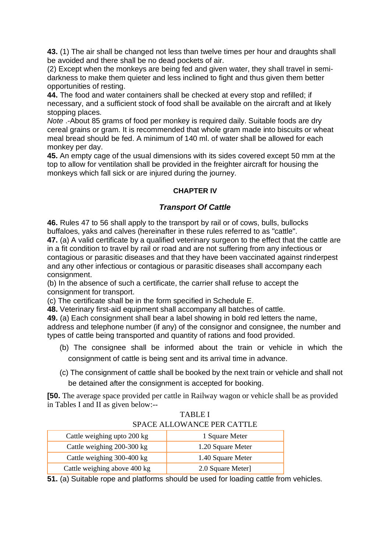**43.** (1) The air shall be changed not less than twelve times per hour and draughts shall be avoided and there shall be no dead pockets of air.

(2) Except when the monkeys are being fed and given water, they shall travel in semidarkness to make them quieter and less inclined to fight and thus given them better opportunities of resting.

**44.** The food and water containers shall be checked at every stop and refilled; if necessary, and a sufficient stock of food shall be available on the aircraft and at likely stopping places.

*Note* .-About 85 grams of food per monkey is required daily. Suitable foods are dry cereal grains or gram. It is recommended that whole gram made into biscuits or wheat meal bread should be fed. A minimum of 140 ml. of water shall be allowed for each monkey per day.

**45.** An empty cage of the usual dimensions with its sides covered except 50 mm at the top to allow for ventilation shall be provided in the freighter aircraft for housing the monkeys which fall sick or are injured during the journey.

## **CHAPTER IV**

## *Transport Of Cattle*

**46.** Rules 47 to 56 shall apply to the transport by rail or of cows, bulls, bullocks buffaloes, yaks and calves (hereinafter in these rules referred to as "cattle".

**47.** (a) A valid certificate by a qualified veterinary surgeon to the effect that the cattle are in a fit condition to travel by rail or road and are not suffering from any infectious or contagious or parasitic diseases and that they have been vaccinated against rinderpest and any other infectious or contagious or parasitic diseases shall accompany each consignment.

(b) In the absence of such a certificate, the carrier shall refuse to accept the consignment for transport.

(c) The certificate shall be in the form specified in Schedule E.

**48.** Veterinary first-aid equipment shall accompany all batches of cattle.

**49.** (a) Each consignment shall bear a label showing in bold red letters the name, address and telephone number (if any) of the consignor and consignee, the number and types of cattle being transported and quantity of rations and food provided.

- (b) The consignee shall be informed about the train or vehicle in which the consignment of cattle is being sent and its arrival time in advance.
- (c) The consignment of cattle shall be booked by the next train or vehicle and shall not be detained after the consignment is accepted for booking.

**[50.** The average space provided per cattle in Railway wagon or vehicle shall be as provided in Tables I and II as given below:--

| TABLE I                    |
|----------------------------|
| SPACE ALLOWANCE PER CATTLE |

| Cattle weighing upto 200 kg  | 1 Square Meter    |
|------------------------------|-------------------|
| Cattle weighing 200-300 kg   | 1.20 Square Meter |
| Cattle weighing 300-400 kg   | 1.40 Square Meter |
| Cattle weighing above 400 kg | 2.0 Square Meter] |

**51.** (a) Suitable rope and platforms should be used for loading cattle from vehicles.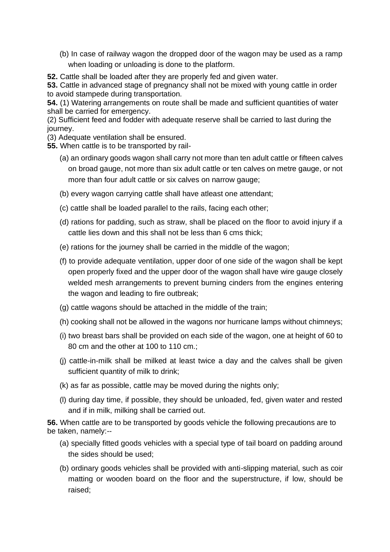- (b) In case of railway wagon the dropped door of the wagon may be used as a ramp when loading or unloading is done to the platform.
- **52.** Cattle shall be loaded after they are properly fed and given water.

**53.** Cattle in advanced stage of pregnancy shall not be mixed with young cattle in order to avoid stampede during transportation.

**54.** (1) Watering arrangements on route shall be made and sufficient quantities of water shall be carried for emergency.

(2) Sufficient feed and fodder with adequate reserve shall be carried to last during the journey.

- (3) Adequate ventilation shall be ensured.
- **55.** When cattle is to be transported by rail-
	- (a) an ordinary goods wagon shall carry not more than ten adult cattle or fifteen calves on broad gauge, not more than six adult cattle or ten calves on metre gauge, or not more than four adult cattle or six calves on narrow gauge;
	- (b) every wagon carrying cattle shall have atleast one attendant;
	- (c) cattle shall be loaded parallel to the rails, facing each other;
	- (d) rations for padding, such as straw, shall be placed on the floor to avoid injury if a cattle lies down and this shall not be less than 6 cms thick;
	- (e) rations for the journey shall be carried in the middle of the wagon;
	- (f) to provide adequate ventilation, upper door of one side of the wagon shall be kept open properly fixed and the upper door of the wagon shall have wire gauge closely welded mesh arrangements to prevent burning cinders from the engines entering the wagon and leading to fire outbreak;
	- (g) cattle wagons should be attached in the middle of the train;
	- (h) cooking shall not be allowed in the wagons nor hurricane lamps without chimneys;
	- (i) two breast bars shall be provided on each side of the wagon, one at height of 60 to 80 cm and the other at 100 to 110 cm.;
	- (j) cattle-in-milk shall be milked at least twice a day and the calves shall be given sufficient quantity of milk to drink;
	- (k) as far as possible, cattle may be moved during the nights only;
	- (l) during day time, if possible, they should be unloaded, fed, given water and rested and if in milk, milking shall be carried out.

**56.** When cattle are to be transported by goods vehicle the following precautions are to be taken, namely:--

- (a) specially fitted goods vehicles with a special type of tail board on padding around the sides should be used;
- (b) ordinary goods vehicles shall be provided with anti-slipping material, such as coir matting or wooden board on the floor and the superstructure, if low, should be raised;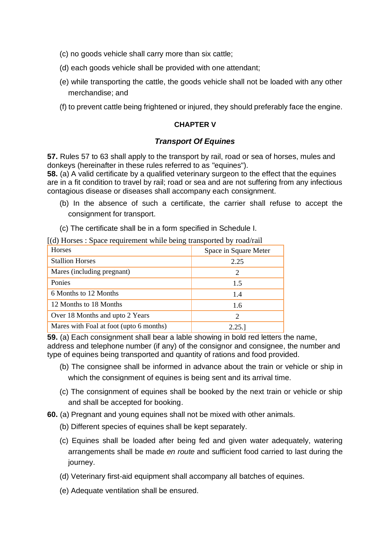- (c) no goods vehicle shall carry more than six cattle;
- (d) each goods vehicle shall be provided with one attendant;
- (e) while transporting the cattle, the goods vehicle shall not be loaded with any other merchandise; and
- (f) to prevent cattle being frightened or injured, they should preferably face the engine.

#### **CHAPTER V**

## *Transport Of Equines*

**57.** Rules 57 to 63 shall apply to the transport by rail, road or sea of horses, mules and donkeys (hereinafter in these rules referred to as "equines").

**58.** (a) A valid certificate by a qualified veterinary surgeon to the effect that the equines are in a fit condition to travel by rail; road or sea and are not suffering from any infectious contagious disease or diseases shall accompany each consignment.

(b) In the absence of such a certificate, the carrier shall refuse to accept the consignment for transport.

(c) The certificate shall be in a form specified in Schedule I.

[(d) Horses : Space requirement while being transported by road/rail

| <b>Horses</b>                           | Space in Square Meter       |
|-----------------------------------------|-----------------------------|
| <b>Stallion Horses</b>                  | 2.25                        |
| Mares (including pregnant)              | $\mathcal{D}_{\mathcal{L}}$ |
| Ponies                                  | 1.5                         |
| 6 Months to 12 Months                   | 1.4                         |
| 12 Months to 18 Months                  | 1.6                         |
| Over 18 Months and upto 2 Years         | $\mathcal{D}_{\cdot}$       |
| Mares with Foal at foot (upto 6 months) | 2.25.                       |

**59.** (a) Each consignment shall bear a lable showing in bold red letters the name, address and telephone number (if any) of the consignor and consignee, the number and type of equines being transported and quantity of rations and food provided.

- (b) The consignee shall be informed in advance about the train or vehicle or ship in which the consignment of equines is being sent and its arrival time.
- (c) The consignment of equines shall be booked by the next train or vehicle or ship and shall be accepted for booking.
- **60.** (a) Pregnant and young equines shall not be mixed with other animals.
	- (b) Different species of equines shall be kept separately.
	- (c) Equines shall be loaded after being fed and given water adequately, watering arrangements shall be made *en route* and sufficient food carried to last during the journey.
	- (d) Veterinary first-aid equipment shall accompany all batches of equines.
	- (e) Adequate ventilation shall be ensured.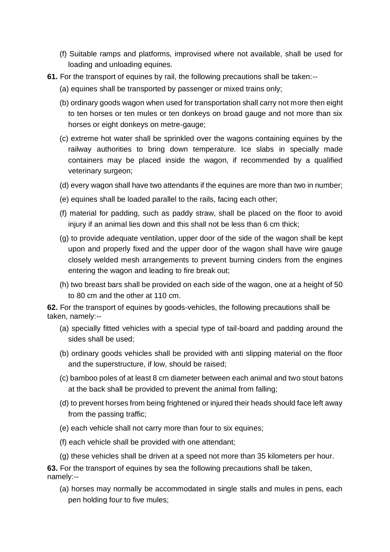- (f) Suitable ramps and platforms, improvised where not available, shall be used for loading and unloading equines.
- **61.** For the transport of equines by rail, the following precautions shall be taken:--
	- (a) equines shall be transported by passenger or mixed trains only;
	- (b) ordinary goods wagon when used for transportation shall carry not more then eight to ten horses or ten mules or ten donkeys on broad gauge and not more than six horses or eight donkeys on metre-gauge;
	- (c) extreme hot water shall be sprinkled over the wagons containing equines by the railway authorities to bring down temperature. Ice slabs in specially made containers may be placed inside the wagon, if recommended by a qualified veterinary surgeon;
	- (d) every wagon shall have two attendants if the equines are more than two in number;
	- (e) equines shall be loaded parallel to the rails, facing each other;
	- (f) material for padding, such as paddy straw, shall be placed on the floor to avoid injury if an animal lies down and this shall not be less than 6 cm thick;
	- (g) to provide adequate ventilation, upper door of the side of the wagon shall be kept upon and properly fixed and the upper door of the wagon shall have wire gauge closely welded mesh arrangements to prevent burning cinders from the engines entering the wagon and leading to fire break out;
	- (h) two breast bars shall be provided on each side of the wagon, one at a height of 50 to 80 cm and the other at 110 cm.

**62.** For the transport of equines by goods-vehicles, the following precautions shall be taken, namely:--

- (a) specially fitted vehicles with a special type of tail-board and padding around the sides shall be used;
- (b) ordinary goods vehicles shall be provided with anti slipping material on the floor and the superstructure, if low, should be raised;
- (c) bamboo poles of at least 8 cm diameter between each animal and two stout batons at the back shall be provided to prevent the animal from falling;
- (d) to prevent horses from being frightened or injured their heads should face left away from the passing traffic;
- (e) each vehicle shall not carry more than four to six equines;
- (f) each vehicle shall be provided with one attendant;
- (g) these vehicles shall be driven at a speed not more than 35 kilometers per hour.

**63.** For the transport of equines by sea the following precautions shall be taken, namely:--

(a) horses may normally be accommodated in single stalls and mules in pens, each pen holding four to five mules;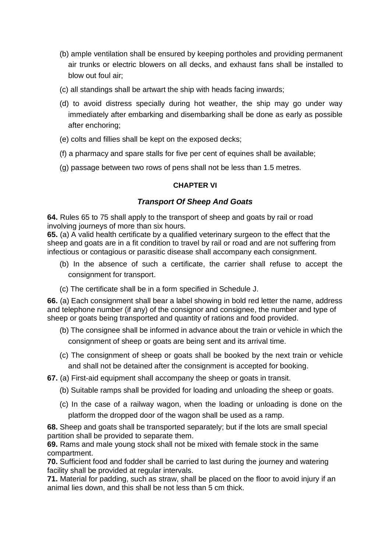- (b) ample ventilation shall be ensured by keeping portholes and providing permanent air trunks or electric blowers on all decks, and exhaust fans shall be installed to blow out foul air;
- (c) all standings shall be artwart the ship with heads facing inwards;
- (d) to avoid distress specially during hot weather, the ship may go under way immediately after embarking and disembarking shall be done as early as possible after enchoring;
- (e) colts and fillies shall be kept on the exposed decks;
- (f) a pharmacy and spare stalls for five per cent of equines shall be available;
- (g) passage between two rows of pens shall not be less than 1.5 metres.

## **CHAPTER VI**

## *Transport Of Sheep And Goats*

**64.** Rules 65 to 75 shall apply to the transport of sheep and goats by rail or road involving journeys of more than six hours.

**65.** (a) A valid health certificate by a qualified veterinary surgeon to the effect that the sheep and goats are in a fit condition to travel by rail or road and are not suffering from infectious or contagious or parasitic disease shall accompany each consignment.

- (b) In the absence of such a certificate, the carrier shall refuse to accept the consignment for transport.
- (c) The certificate shall be in a form specified in Schedule J.

**66.** (a) Each consignment shall bear a label showing in bold red letter the name, address and telephone number (if any) of the consignor and consignee, the number and type of sheep or goats being transported and quantity of rations and food provided.

- (b) The consignee shall be informed in advance about the train or vehicle in which the consignment of sheep or goats are being sent and its arrival time.
- (c) The consignment of sheep or goats shall be booked by the next train or vehicle and shall not be detained after the consignment is accepted for booking.
- **67.** (a) First-aid equipment shall accompany the sheep or goats in transit.
	- (b) Suitable ramps shall be provided for loading and unloading the sheep or goats.
	- (c) In the case of a railway wagon, when the loading or unloading is done on the platform the dropped door of the wagon shall be used as a ramp.

**68.** Sheep and goats shall be transported separately; but if the lots are small special partition shall be provided to separate them.

**69.** Rams and male young stock shall not be mixed with female stock in the same compartment.

**70.** Sufficient food and fodder shall be carried to last during the journey and watering facility shall be provided at regular intervals.

**71.** Material for padding, such as straw, shall be placed on the floor to avoid injury if an animal lies down, and this shall be not less than 5 cm thick.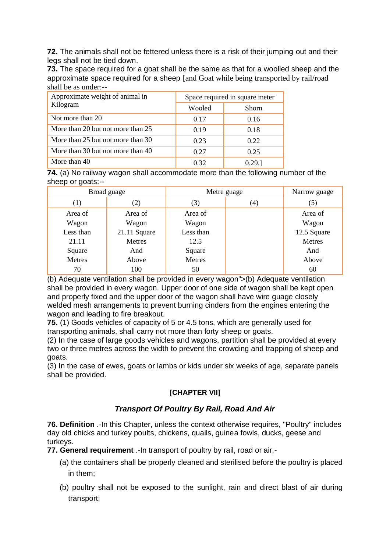**72.** The animals shall not be fettered unless there is a risk of their jumping out and their legs shall not be tied down.

**73.** The space required for a goat shall be the same as that for a woolled sheep and the approximate space required for a sheep [and Goat while being transported by rail/road shall be as under:--

| Approximate weight of animal in   | Space required in square meter |              |  |
|-----------------------------------|--------------------------------|--------------|--|
| Kilogram                          | Wooled                         | <b>Shorn</b> |  |
| Not more than 20                  | 0.17                           | 0.16         |  |
| More than 20 but not more than 25 | 0.19                           | 0.18         |  |
| More than 25 but not more than 30 | 0.23                           | 0.22         |  |
| More than 30 but not more than 40 | 0.27                           | 0.25         |  |
| More than 40                      | 0.32                           | 0.29.1       |  |

**74.** (a) No railway wagon shall accommodate more than the following number of the sheep or goats:--

|           | Broad guage  | Metre guage |                   | Narrow guage |  |
|-----------|--------------|-------------|-------------------|--------------|--|
| (1)       | (2)          | (3)         | $\left( 4\right)$ | (5)          |  |
| Area of   | Area of      | Area of     |                   | Area of      |  |
| Wagon     | Wagon        | Wagon       |                   | Wagon        |  |
| Less than | 21.11 Square | Less than   |                   | 12.5 Square  |  |
| 21.11     | Metres       | 12.5        |                   | Metres       |  |
| Square    | And          | Square      |                   | And          |  |
| Metres    | Above        | Metres      |                   | Above        |  |
| 70        | 100          | 50          |                   | 60           |  |

(b) Adequate ventilation shall be provided in every wagon">(b) Adequate ventilation shall be provided in every wagon. Upper door of one side of wagon shall be kept open and properly fixed and the upper door of the wagon shall have wire guage closely welded mesh arrangements to prevent burning cinders from the engines entering the wagon and leading to fire breakout.

**75.** (1) Goods vehicles of capacity of 5 or 4.5 tons, which are generally used for transporting animals, shall carry not more than forty sheep or goats.

(2) In the case of large goods vehicles and wagons, partition shall be provided at every two or three metres across the width to prevent the crowding and trapping of sheep and goats.

(3) In the case of ewes, goats or lambs or kids under six weeks of age, separate panels shall be provided.

# **[CHAPTER VII]**

# *Transport Of Poultry By Rail, Road And Air*

**76. Definition** .-In this Chapter, unless the context otherwise requires, "Poultry" includes day old chicks and turkey poults, chickens, quails, guinea fowls, ducks, geese and turkeys.

**77. General requirement** .-In transport of poultry by rail, road or air,-

- (a) the containers shall be properly cleaned and sterilised before the poultry is placed in them;
- (b) poultry shall not be exposed to the sunlight, rain and direct blast of air during transport;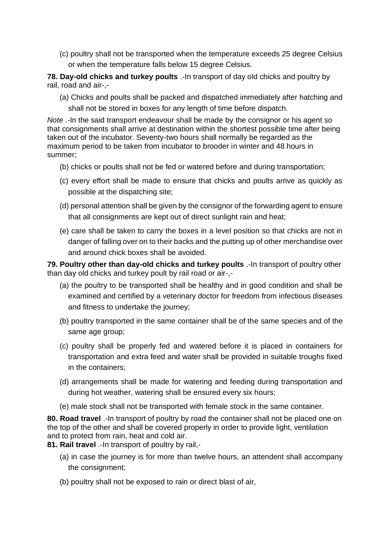(c) poultry shall not be transported when the temperature exceeds 25 degree Celsius or when the temperature falls below 15 degree Celsius.

**78. Day-old chicks and turkey poults** .-In transport of day old chicks and poultry by rail, road and air-,-

(a) Chicks and poults shall be packed and dispatched immediately after hatching and shall not be stored in boxes for any length of time before dispatch.

*Note* .-In the said transport endeavour shall be made by the consignor or his agent so that consignments shall arrive at destination within the shortest possible time after being taken out of the incubator. Seventy-two hours shall normally be regarded as the maximum period to be taken from incubator to brooder in winter and 48 hours in summer;

- (b) chicks or poults shall not be fed or watered before and during transportation;
- (c) every effort shall be made to ensure that chicks and poults arrive as quickly as possible at the dispatching site;
- (d) personal attention shall be given by the consignor of the forwarding agent to ensure that all consignments are kept out of direct sunlight rain and heat;
- (e) care shall be taken to carry the boxes in a level position so that chicks are not in danger of falling over on to their backs and the putting up of other merchandise over and around chick boxes shall be avoided.

**79. Poultry other than day-old chicks and turkey poults** .-In transport of poultry other than day old chicks and turkey poult by rail road or air-,-

- (a) the poultry to be transported shall be healthy and in good condition and shall be examined and certified by a veterinary doctor for freedom from infectious diseases and fitness to undertake the journey;
- (b) poultry transported in the same container shall be of the same species and of the same age group;
- (c) poultry shall be properly fed and watered before it is placed in containers for transportation and extra feed and water shall be provided in suitable troughs fixed in the containers;
- (d) arrangements shall be made for watering and feeding during transportation and during hot weather, watering shall be ensured every six hours;
- (e) male stock shall not be transported with female stock in the same container.

**80. Road travel** .-In transport of poultry by road the container shall not be placed one on the top of the other and shall be covered properly in order to provide light, ventilation and to protect from rain, heat and cold air.

**81. Rail travel** .-In transport of poultry by rail,-

- (a) in case the journey is for more than twelve hours, an attendent shall accompany the consignment;
- (b) poultry shall not be exposed to rain or direct blast of air,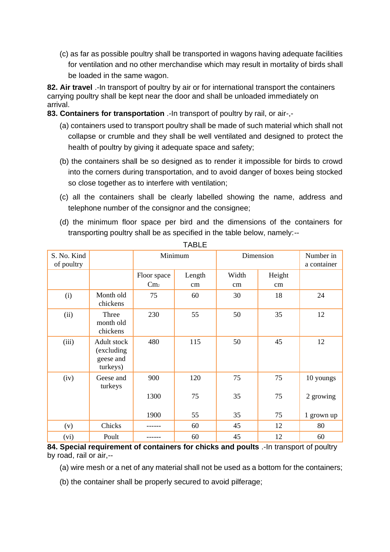(c) as far as possible poultry shall be transported in wagons having adequate facilities for ventilation and no other merchandise which may result in mortality of birds shall be loaded in the same wagon.

**82. Air travel** .-In transport of poultry by air or for international transport the containers carrying poultry shall be kept near the door and shall be unloaded immediately on arrival.

**83. Containers for transportation** .-In transport of poultry by rail, or air-,-

- (a) containers used to transport poultry shall be made of such material which shall not collapse or crumble and they shall be well ventilated and designed to protect the health of poultry by giving it adequate space and safety;
- (b) the containers shall be so designed as to render it impossible for birds to crowd into the corners during transportation, and to avoid danger of boxes being stocked so close together as to interfere with ventilation;
- (c) all the containers shall be clearly labelled showing the name, address and telephone number of the consignor and the consignee;
- (d) the minimum floor space per bird and the dimensions of the containers for transporting poultry shall be as specified in the table below, namely:--

| S. No. Kind<br>of poultry |                                                    |                 | Minimum |       | Dimension | Number in<br>a container |
|---------------------------|----------------------------------------------------|-----------------|---------|-------|-----------|--------------------------|
|                           |                                                    | Floor space     | Length  | Width | Height    |                          |
|                           |                                                    | Cm <sub>2</sub> | cm      | cm    | cm        |                          |
| (i)                       | Month old<br>chickens                              | 75              | 60      | 30    | 18        | 24                       |
| (ii)                      | Three<br>month old<br>chickens                     | 230             | 55      | 50    | 35        | 12                       |
| (iii)                     | Adult stock<br>(excluding<br>geese and<br>turkeys) | 480             | 115     | 50    | 45        | 12                       |
| (iv)                      | Geese and<br>turkeys                               | 900             | 120     | 75    | 75        | 10 youngs                |
|                           |                                                    | 1300            | 75      | 35    | 75        | 2 growing                |
|                           |                                                    | 1900            | 55      | 35    | 75        | 1 grown up               |
| (v)                       | Chicks                                             |                 | 60      | 45    | 12        | 80                       |
| (vi)                      | Poult                                              |                 | 60      | 45    | 12        | 60                       |

TABLE

**84. Special requirement of containers for chicks and poults** .-In transport of poultry by road, rail or air,--

(a) wire mesh or a net of any material shall not be used as a bottom for the containers;

(b) the container shall be properly secured to avoid pilferage;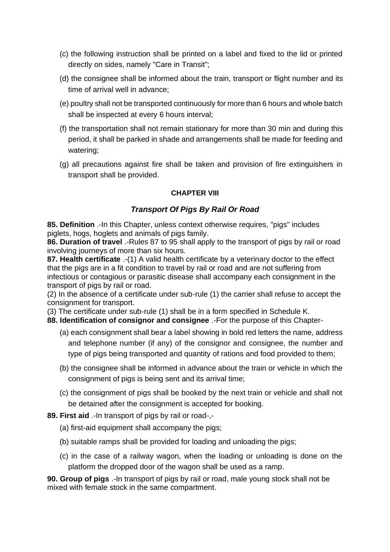- (c) the following instruction shall be printed on a label and fixed to the lid or printed directly on sides, namely "Care in Transit";
- (d) the consignee shall be informed about the train, transport or flight number and its time of arrival well in advance;
- (e) poultry shall not be transported continuously for more than 6 hours and whole batch shall be inspected at every 6 hours interval;
- (f) the transportation shall not remain stationary for more than 30 min and during this period, it shall be parked in shade and arrangements shall be made for feeding and watering;
- (g) all precautions against fire shall be taken and provision of fire extinguishers in transport shall be provided.

# **CHAPTER VIII**

# *Transport Of Pigs By Rail Or Road*

**85. Definition** .-In this Chapter, unless context otherwise requires, "pigs" includes piglets, hogs, hoglets and animals of pigs family.

**86. Duration of travel** .-Rules 87 to 95 shall apply to the transport of pigs by rail or road involving journeys of more than six hours.

**87. Health certificate** .-(1) A valid health certificate by a veterinary doctor to the effect that the pigs are in a fit condition to travel by rail or road and are not suffering from infectious or contagious or parasitic disease shall accompany each consignment in the transport of pigs by rail or road.

(2) In the absence of a certificate under sub-rule (1) the carrier shall refuse to accept the consignment for transport.

(3) The certificate under sub-rule (1) shall be in a form specified in Schedule K.

**88. Identification of consignor and consignee** .-For the purpose of this Chapter-

- (a) each consignment shall bear a label showing in bold red letters the name, address and telephone number (if any) of the consignor and consignee, the number and type of pigs being transported and quantity of rations and food provided to them;
- (b) the consignee shall be informed in advance about the train or vehicle in which the consignment of pigs is being sent and its arrival time;
- (c) the consignment of pigs shall be booked by the next train or vehicle and shall not be detained after the consignment is accepted for booking.

**89. First aid** .-In transport of pigs by rail or road-,-

- (a) first-aid equipment shall accompany the pigs;
- (b) suitable ramps shall be provided for loading and unloading the pigs;
- (c) in the case of a railway wagon, when the loading or unloading is done on the platform the dropped door of the wagon shall be used as a ramp.

**90. Group of pigs** .-In transport of pigs by rail or road, male young stock shall not be mixed with female stock in the same compartment.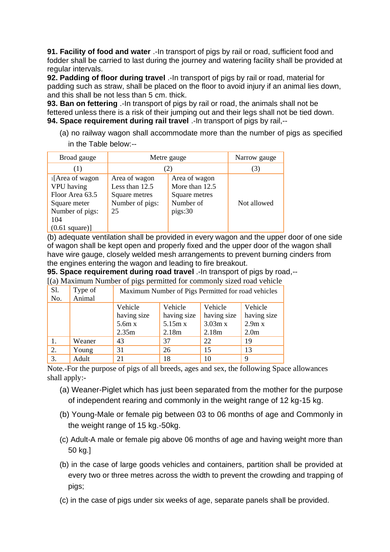**91. Facility of food and water** .-In transport of pigs by rail or road, sufficient food and fodder shall be carried to last during the journey and watering facility shall be provided at regular intervals.

**92. Padding of floor during travel** .-In transport of pigs by rail or road, material for padding such as straw, shall be placed on the floor to avoid injury if an animal lies down, and this shall be not less than 5 cm. thick.

**93. Ban on fettering** .-In transport of pigs by rail or road, the animals shall not be fettered unless there is a risk of their jumping out and their legs shall not be tied down. **94. Space requirement during rail travel** .-In transport of pigs by rail,--

(a) no railway wagon shall accommodate more than the number of pigs as specified in the Table below:--

| Broad gauge                                                                                                           | Metre gauge                                                               |                                                                          | Narrow gauge |
|-----------------------------------------------------------------------------------------------------------------------|---------------------------------------------------------------------------|--------------------------------------------------------------------------|--------------|
| (1)                                                                                                                   | (2)                                                                       |                                                                          | (3)          |
| 1[Area of wagon<br>VPU having<br>Floor Area 63.5<br>Square meter<br>Number of pigs:<br>104<br>$(0.61 \text{ square})$ | Area of wagon<br>Less than 12.5<br>Square metres<br>Number of pigs:<br>25 | Area of wagon<br>More than 12.5<br>Square metres<br>Number of<br>pigs:30 | Not allowed  |

(b) adequate ventilation shall be provided in every wagon and the upper door of one side of wagon shall be kept open and properly fixed and the upper door of the wagon shall have wire gauge, closely welded mesh arrangements to prevent burning cinders from the engines entering the wagon and leading to fire breakout.

**95. Space requirement during road travel** .-In transport of pigs by road,--

[(a) Maximum Number of pigs permitted for commonly sized road vehicle

| S1.<br>No. | Type of<br>Animal | Maximum Number of Pigs Permitted for road vehicles |                   |             |                  |
|------------|-------------------|----------------------------------------------------|-------------------|-------------|------------------|
|            |                   | Vehicle                                            | Vehicle           | Vehicle     | Vehicle          |
|            |                   | having size                                        | having size       | having size | having size      |
|            |                   | 5.6m x                                             | 5.15m x           | 3.03m x     | 2.9m x           |
|            |                   | 2.35m                                              | 2.18 <sub>m</sub> | 2.18m       | 2.0 <sub>m</sub> |
|            | Weaner            | 43                                                 | 37                | 22          | 19               |
| 2.         | Young             | 31                                                 | 26                | 15          | 13               |
| 3.         | Adult             | 21                                                 | 18                | 10          | 9                |

Note.-For the purpose of pigs of all breeds, ages and sex, the following Space allowances shall apply:-

- (a) Weaner-Piglet which has just been separated from the mother for the purpose of independent rearing and commonly in the weight range of 12 kg-15 kg.
- (b) Young-Male or female pig between 03 to 06 months of age and Commonly in the weight range of 15 kg.-50kg.
- (c) Adult-A male or female pig above 06 months of age and having weight more than 50 kg.]
- (b) in the case of large goods vehicles and containers, partition shall be provided at every two or three metres across the width to prevent the crowding and trapping of pigs;
- (c) in the case of pigs under six weeks of age, separate panels shall be provided.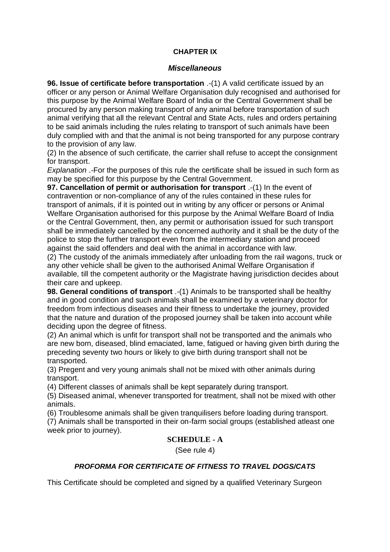#### **CHAPTER IX**

#### *Miscellaneous*

**96. Issue of certificate before transportation** .-(1) A valid certificate issued by an officer or any person or Animal Welfare Organisation duly recognised and authorised for this purpose by the Animal Welfare Board of India or the Central Government shall be procured by any person making transport of any animal before transportation of such animal verifying that all the relevant Central and State Acts, rules and orders pertaining to be said animals including the rules relating to transport of such animals have been duly complied with and that the animal is not being transported for any purpose contrary to the provision of any law.

(2) In the absence of such certificate, the carrier shall refuse to accept the consignment for transport.

*Explanation* .-For the purposes of this rule the certificate shall be issued in such form as may be specified for this purpose by the Central Government.

**97. Cancellation of permit or authorisation for transport** .-(1) In the event of contravention or non-compliance of any of the rules contained in these rules for transport of animals, if it is pointed out in writing by any officer or persons or Animal Welfare Organisation authorised for this purpose by the Animal Welfare Board of India or the Central Government, then, any permit or authorisation issued for such transport shall be immediately cancelled by the concerned authority and it shall be the duty of the police to stop the further transport even from the intermediary station and proceed against the said offenders and deal with the animal in accordance with law.

(2) The custody of the animals immediately after unloading from the rail wagons, truck or any other vehicle shall be given to the authorised Animal Welfare Organisation if available, till the competent authority or the Magistrate having jurisdiction decides about their care and upkeep.

**98. General conditions of transport** .-(1) Animals to be transported shall be healthy and in good condition and such animals shall be examined by a veterinary doctor for freedom from infectious diseases and their fitness to undertake the journey, provided that the nature and duration of the proposed journey shall be taken into account while deciding upon the degree of fitness.

(2) An animal which is unfit for transport shall not be transported and the animals who are new born, diseased, blind emaciated, lame, fatigued or having given birth during the preceding seventy two hours or likely to give birth during transport shall not be transported.

(3) Pregent and very young animals shall not be mixed with other animals during transport.

(4) Different classes of animals shall be kept separately during transport.

(5) Diseased animal, whenever transported for treatment, shall not be mixed with other animals.

(6) Troublesome animals shall be given tranquilisers before loading during transport. (7) Animals shall be transported in their on-farm social groups (established atleast one week prior to journey).

## **SCHEDULE - A**

(See rule 4)

#### *PROFORMA FOR CERTIFICATE OF FITNESS TO TRAVEL DOGS/CATS*

This Certificate should be completed and signed by a qualified Veterinary Surgeon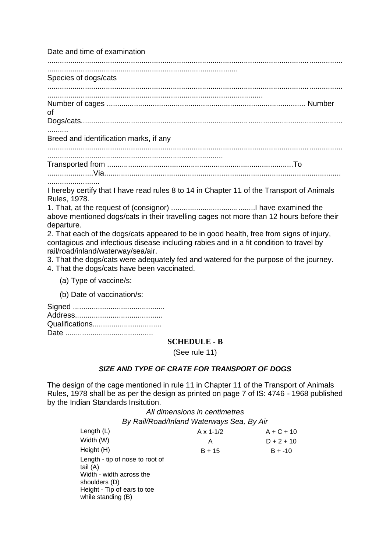Date and time of examination

............................................................................................................................................. ........................................................................................... Species of dogs/cats ............................................................................................................................................. ....................................................................................................... Number of cages ............................................................................................... Number of Dogs/cats............................................................................................................................. .......... Breed and identification marks, if any ............................................................................................................................................. .................................................................................... Transported from .........................................................................................To ......................Via................................................................................................................. ......................... I hereby certify that I have read rules 8 to 14 in Chapter 11 of the Transport of Animals Rules, 1978.

1. That, at the request of (consignor) ........................................I have examined the above mentioned dogs/cats in their travelling cages not more than 12 hours before their departure.

2. That each of the dogs/cats appeared to be in good health, free from signs of injury, contagious and infectious disease including rabies and in a fit condition to travel by rail/road/inland/waterway/sea/air.

3. That the dogs/cats were adequately fed and watered for the purpose of the journey.

4. That the dogs/cats have been vaccinated.

(a) Type of vaccine/s:

(b) Date of vaccination/s:

| Qualifications |
|----------------|
|                |

#### **SCHEDULE - B**

(See rule 11)

## *SIZE AND TYPE OF CRATE FOR TRANSPORT OF DOGS*

The design of the cage mentioned in rule 11 in Chapter 11 of the Transport of Animals Rules, 1978 shall be as per the design as printed on page 7 of IS: 4746 - 1968 published by the Indian Standards Insitution.

*All dimensions in centimetres*

*By Rail/Road/Inland Waterways Sea, By Air*

| $A \times 1 - 1/2$ | $A + C + 10$ |
|--------------------|--------------|
| Α                  | $D + 2 + 10$ |
| $B + 15$           | $B + -10$    |
|                    |              |
|                    |              |
|                    |              |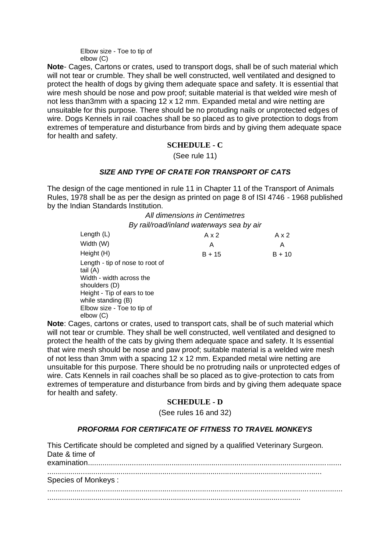Elbow size - Toe to tip of elbow (C)

**Note**- Cages, Cartons or crates, used to transport dogs, shall be of such material which will not tear or crumble. They shall be well constructed, well ventilated and designed to protect the health of dogs by giving them adequate space and safety. It is essential that wire mesh should be nose and pow proof; suitable material is that welded wire mesh of not less than3mm with a spacing 12 x 12 mm. Expanded metal and wire netting are unsuitable for this purpose. There should be no protuding nails or unprotected edges of wire. Dogs Kennels in rail coaches shall be so placed as to give protection to dogs from extremes of temperature and disturbance from birds and by giving them adequate space for health and safety.

## **SCHEDULE - C**

(See rule 11)

#### *SIZE AND TYPE OF CRATE FOR TRANSPORT OF CATS*

The design of the cage mentioned in rule 11 in Chapter 11 of the Transport of Animals Rules, 1978 shall be as per the design as printed on page 8 of ISI 4746 - 1968 published by the Indian Standards Institution.

#### *All dimensions in Centimetres By rail/road/inland waterways sea by air*

| $A \times 2$ | Ax2      |
|--------------|----------|
| Α            | A        |
| $B + 15$     | $B + 10$ |
|              |          |
|              |          |

**Note**: Cages, cartons or crates, used to transport cats, shall be of such material which will not tear or crumble. They shall be well constructed, well ventilated and designed to protect the health of the cats by giving them adequate space and safety. It Is essential that wire mesh should be nose and paw proof; suitable material is a welded wire mesh of not less than 3mm with a spacing 12 x 12 mm. Expanded metal wire netting are unsuitable for this purpose. There should be no protruding nails or unprotected edges of wire. Cats Kennels in rail coaches shall be so placed as to give-protection to cats from extremes of temperature and disturbance from birds and by giving them adequate space for health and safety.

#### **SCHEDULE - D**

(See rules 16 and 32)

#### *PROFORMA FOR CERTIFICATE OF FITNESS TO TRAVEL MONKEYS*

| This Certificate should be completed and signed by a qualified Veterinary Surgeon.<br>Date & time of |
|------------------------------------------------------------------------------------------------------|
| Species of Monkeys:                                                                                  |
|                                                                                                      |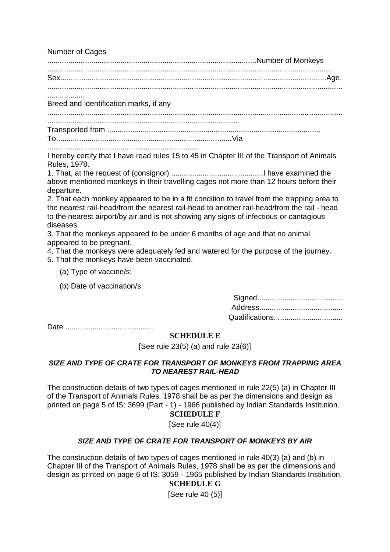Number of Cages

....................................................................................................Number of Monkeys .........................................................................................................................................

Sex...............................................................................................................................Age. .............................................................................................................................................

..................

Breed and identification marks, if any

............................................................................................................................................. ...........................................................................................

Transported from ......................................................................................................

To....................................................................................Via .........................................................................

I hereby certify that I have read rules 15 to 45 in Chapter III of the Transport of Animals Rules, 1978.

1. That, at the request of (consignor) ............................................I have examined the above mentioned monkeys in their travelling cages not more than 12 hours before their departure.

2. That each monkey appeared to be in a fit condition to travel from the trapping area to the nearest rail-head/from the nearest rail-head to another rail-head/from the rail - head to the nearest airport/by air and is not showing any signs of infectious or cantagious diseases.

3. That the monkeys appeared to be under 6 months of age and that no animal appeared to be pregnant.

4. That the monkeys were adequately fed and watered for the purpose of the journey.

5. That the monkeys have been vaccinated.

- (a) Type of vaccine/s:
- (b) Date of vaccination/s:

| Qualifications |
|----------------|

Date ..........................................

# **SCHEDULE E**

[See rule 23(5) (a) and rule 23(6)]

#### *SIZE AND TYPE OF CRATE FOR TRANSPORT OF MONKEYS FROM TRAPPING AREA TO NEAREST RAIL-HEAD*

The construction details of two types of cages mentioned in rule 22(5) (a) in Chapter III of the Transport of Animals Rules, 1978 shall be as per the dimensions and design as printed on page 5 of IS: 3699 (Part - 1) - 1966 published by Indian Standards Institution.

# **SCHEDULE F**

[See rule 40(4)]

# *SIZE AND TYPE OF CRATE FOR TRANSPORT OF MONKEYS BY AIR*

The construction details of two types of cages mentioned in rule 40(3) (a) and (b) in Chapter III of the Transport of Animals Rules, 1978 shall be as per the dimensions and design as printed on page 6 of IS: 3059 - 1965 published by Indian Standards Institution.

# **SCHEDULE G**

 $[See rule 40 (5)]$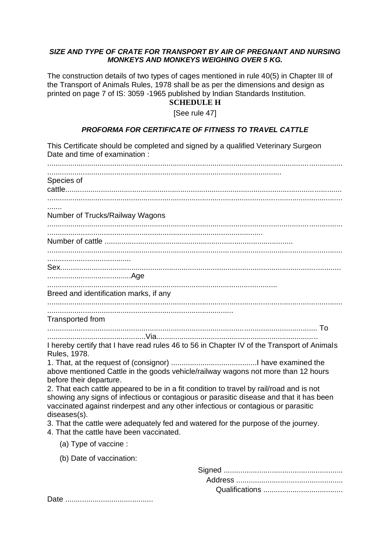#### *SIZE AND TYPE OF CRATE FOR TRANSPORT BY AIR OF PREGNANT AND NURSING MONKEYS AND MONKEYS WEIGHING OVER 5 KG.*

The construction details of two types of cages mentioned in rule 40(5) in Chapter III of the Transport of Animals Rules, 1978 shall be as per the dimensions and design as printed on page 7 of IS: 3059 -1965 published by Indian Standards Institution.

## **SCHEDULE H**

[See rule 47]

#### *PROFORMA FOR CERTIFICATE OF FITNESS TO TRAVEL CATTLE*

This Certificate should be completed and signed by a qualified Veterinary Surgeon Date and time of examination : ............................................................................................................................................. ................................................................................................................ Species of cattle.................................................................................................................................... ............................................................................................................................................. ....... Number of Trucks/Railway Wagons ............................................................................................................................................. ....................................................................................................... Number of cattle .......................................................................................... ............................................................................................................................................. ........................................ Sex...................................................................................................................................... ........................................Age .............................................................................................................. Breed and identification marks, if any ............................................................................................................................................. ......................................................................................... Transported from ................................................................................................................................. To ...............................................Via............................................................................. I hereby certify that I have read rules 46 to 56 in Chapter IV of the Transport of Animals Rules, 1978. 1. That, at the request of (consignor) .........................................I have examined the above mentioned Cattle in the goods vehicle/railway wagons not more than 12 hours before their departure. 2. That each cattle appeared to be in a fit condition to travel by rail/road and is not showing any signs of infectious or contagious or parasitic disease and that it has been vaccinated against rinderpest and any other infectious or contagious or parasitic diseases(s). 3. That the cattle were adequately fed and watered for the purpose of the journey. 4. That the cattle have been vaccinated. (a) Type of vaccine : (b) Date of vaccination:

Date ..........................................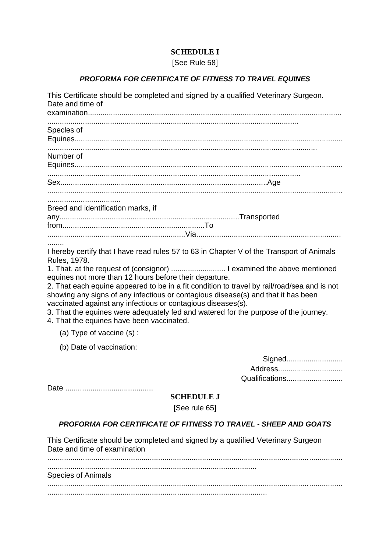# **SCHEDULE I**

# [See Rule 58]

# *PROFORMA FOR CERTIFICATE OF FITNESS TO TRAVEL EQUINES*

This Certificate should be completed and signed by a qualified Veterinary Surgeon.

| Date and time of                                                                                                                                                                                                                                                                                                                                                                                                                                                                                                                                                                                                                           |
|--------------------------------------------------------------------------------------------------------------------------------------------------------------------------------------------------------------------------------------------------------------------------------------------------------------------------------------------------------------------------------------------------------------------------------------------------------------------------------------------------------------------------------------------------------------------------------------------------------------------------------------------|
| Specles of                                                                                                                                                                                                                                                                                                                                                                                                                                                                                                                                                                                                                                 |
| Number of                                                                                                                                                                                                                                                                                                                                                                                                                                                                                                                                                                                                                                  |
|                                                                                                                                                                                                                                                                                                                                                                                                                                                                                                                                                                                                                                            |
| Breed and identification marks, if                                                                                                                                                                                                                                                                                                                                                                                                                                                                                                                                                                                                         |
| .<br>I hereby certify that I have read rules 57 to 63 in Chapter V of the Transport of Animals<br>Rules, 1978.<br>1. That, at the request of (consignor)  I examined the above mentioned<br>equines not more than 12 hours before their departure.<br>2. That each equine appeared to be in a fit condition to travel by rail/road/sea and is not<br>showing any signs of any infectious or contagious disease(s) and that it has been<br>vaccinated against any infectious or contagious diseases(s).<br>3. That the equines were adequately fed and watered for the purpose of the journey.<br>4. That the equines have been vaccinated. |
| (a) Type of vaccine (s):                                                                                                                                                                                                                                                                                                                                                                                                                                                                                                                                                                                                                   |
| (b) Date of vaccination:                                                                                                                                                                                                                                                                                                                                                                                                                                                                                                                                                                                                                   |
| Signed<br>Address<br>Qualifications                                                                                                                                                                                                                                                                                                                                                                                                                                                                                                                                                                                                        |
| <b>SCHEDULE J</b><br>[See rule 65]                                                                                                                                                                                                                                                                                                                                                                                                                                                                                                                                                                                                         |
| <b>PROFORMA FOR CERTIFICATE OF FITNESS TO TRAVEL - SHEEP AND GOATS</b>                                                                                                                                                                                                                                                                                                                                                                                                                                                                                                                                                                     |
| This Certificate should be completed and signed by a qualified Veterinary Surgeon<br>Date and time of examination                                                                                                                                                                                                                                                                                                                                                                                                                                                                                                                          |
| Species of Animals                                                                                                                                                                                                                                                                                                                                                                                                                                                                                                                                                                                                                         |
|                                                                                                                                                                                                                                                                                                                                                                                                                                                                                                                                                                                                                                            |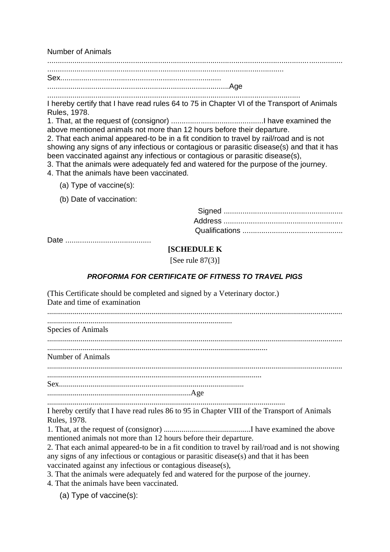Number of Animals

.............................................................................................................................................

.................................................................................................................

Sex............................................................................. .......................................................................................Age

.........................................................................................................................

I hereby certify that I have read rules 64 to 75 in Chapter VI of the Transport of Animals Rules, 1978.

1. That, at the request of (consignor) ............................................I have examined the above mentioned animals not more than 12 hours before their departure.

2. That each animal appeared-to be in a fit condition to travel by rail/road and is not showing any signs of any infectious or contagious or parasitic disease(s) and that it has been vaccinated against any infectious or contagious or parasitic disease(s),

3. That the animals were adequately fed and watered for the purpose of the journey.

- 4. That the animals have been vaccinated.
	- (a) Type of vaccine(s):

(b) Date of vaccination:

Date .........................................

#### **[SCHEDULE K**

[See rule  $87(3)$ ]

## *PROFORMA FOR CERTIFICATE OF FITNESS TO TRAVEL PIGS*

.........................................................................................................................

I hereby certify that I have read rules 86 to 95 in Chapter VIII of the Transport of Animals Rules, 1978.

1. That, at the request of (consignor) ............................................I have examined the above mentioned animals not more than 12 hours before their departure.

2. That each animal appeared-to be in a fit condition to travel by rail/road and is not showing any signs of any infectious or contagious or parasitic disease(s) and that it has been vaccinated against any infectious or contagious disease(s),

3. That the animals were adequately fed and watered for the purpose of the journey.

4. That the animals have been vaccinated.

(a) Type of vaccine(s):